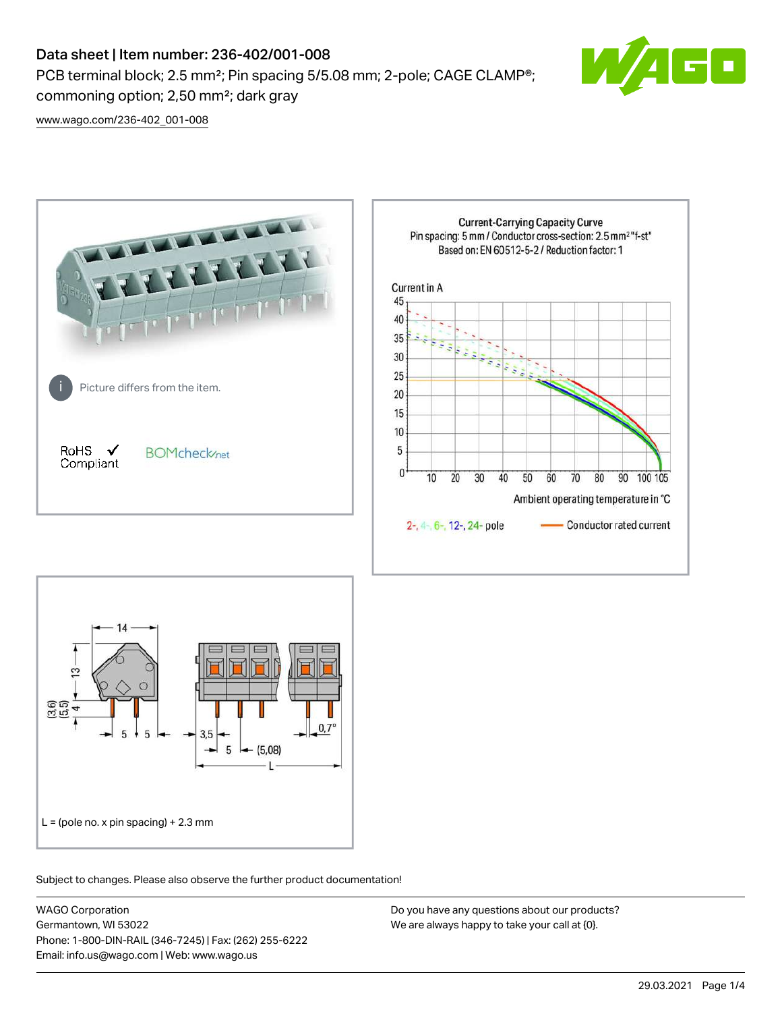# Data sheet | Item number: 236-402/001-008

PCB terminal block; 2.5 mm<sup>2</sup>; Pin spacing 5/5.08 mm; 2-pole; CAGE CLAMP<sup>®</sup>; commoning option; 2,50 mm²; dark gray



[www.wago.com/236-402\\_001-008](http://www.wago.com/236-402_001-008)





Subject to changes. Please also observe the further product documentation!

WAGO Corporation Germantown, WI 53022 Phone: 1-800-DIN-RAIL (346-7245) | Fax: (262) 255-6222 Email: info.us@wago.com | Web: www.wago.us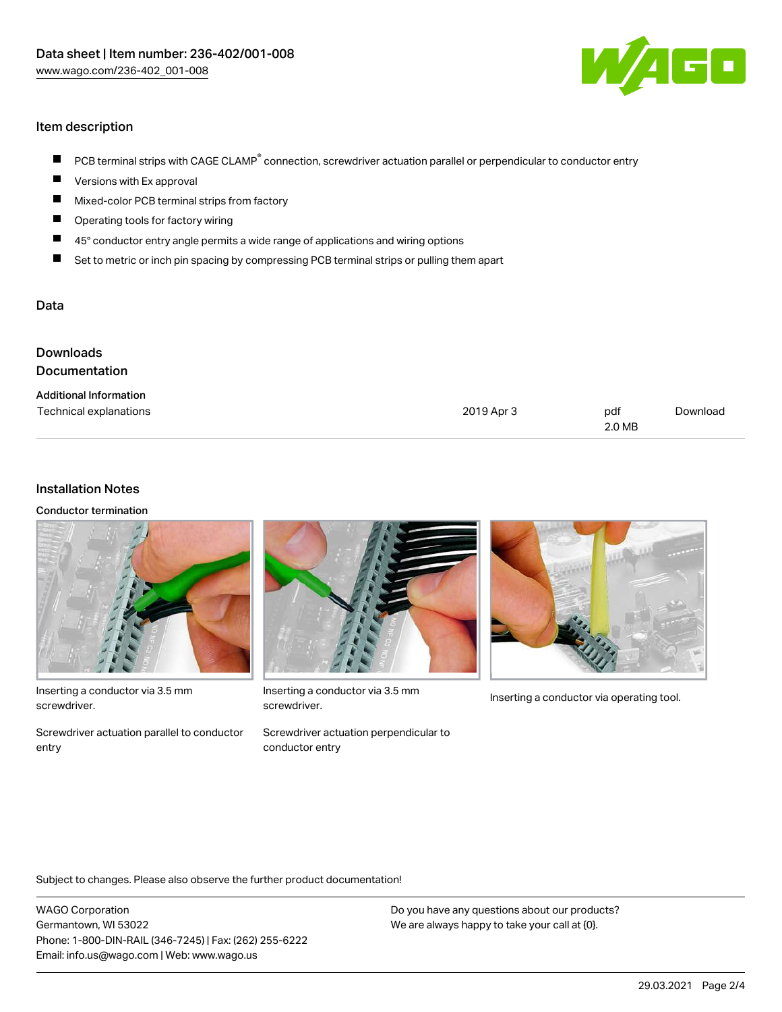

## Item description

- PCB terminal strips with CAGE CLAMP<sup>®</sup> connection, screwdriver actuation parallel or perpendicular to conductor entry  $\blacksquare$
- Versions with Ex approval П
- $\blacksquare$ Mixed-color PCB terminal strips from factory
- $\blacksquare$ Operating tools for factory wiring
- $\blacksquare$ 45° conductor entry angle permits a wide range of applications and wiring options
- П Set to metric or inch pin spacing by compressing PCB terminal strips or pulling them apart

#### Data

| Downloads<br><b>Documentation</b>                       |            |               |          |
|---------------------------------------------------------|------------|---------------|----------|
| <b>Additional Information</b><br>Technical explanations | 2019 Apr 3 | pdf<br>2.0 MB | Download |

### Installation Notes

Conductor termination

![](_page_1_Picture_13.jpeg)

Inserting a conductor via 3.5 mm screwdriver.

Screwdriver actuation parallel to conductor entry

![](_page_1_Picture_16.jpeg)

Inserting a conductor via 3.5 mm<br>Inserting a conductor via operating tool. screwdriver.

Screwdriver actuation perpendicular to conductor entry

![](_page_1_Picture_19.jpeg)

Subject to changes. Please also observe the further product documentation!

WAGO Corporation Germantown, WI 53022 Phone: 1-800-DIN-RAIL (346-7245) | Fax: (262) 255-6222 Email: info.us@wago.com | Web: www.wago.us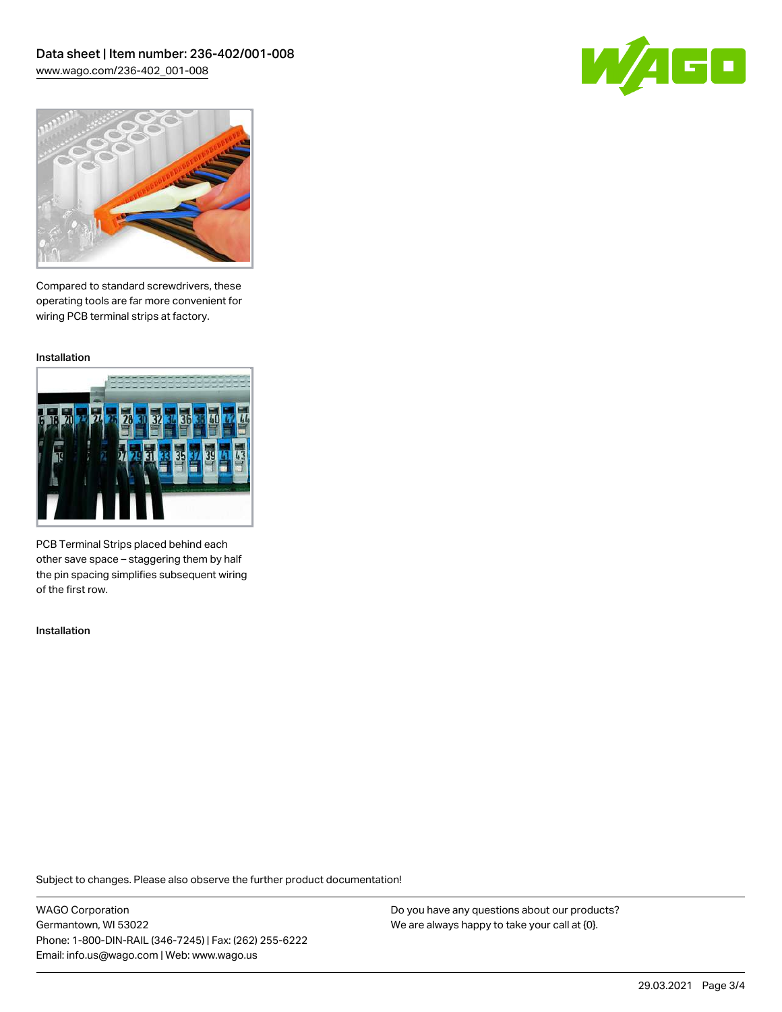![](_page_2_Picture_1.jpeg)

![](_page_2_Picture_2.jpeg)

Compared to standard screwdrivers, these operating tools are far more convenient for wiring PCB terminal strips at factory.

Installation

![](_page_2_Picture_5.jpeg)

PCB Terminal Strips placed behind each other save space – staggering them by half the pin spacing simplifies subsequent wiring of the first row.

Installation

Subject to changes. Please also observe the further product documentation!

WAGO Corporation Germantown, WI 53022 Phone: 1-800-DIN-RAIL (346-7245) | Fax: (262) 255-6222 Email: info.us@wago.com | Web: www.wago.us